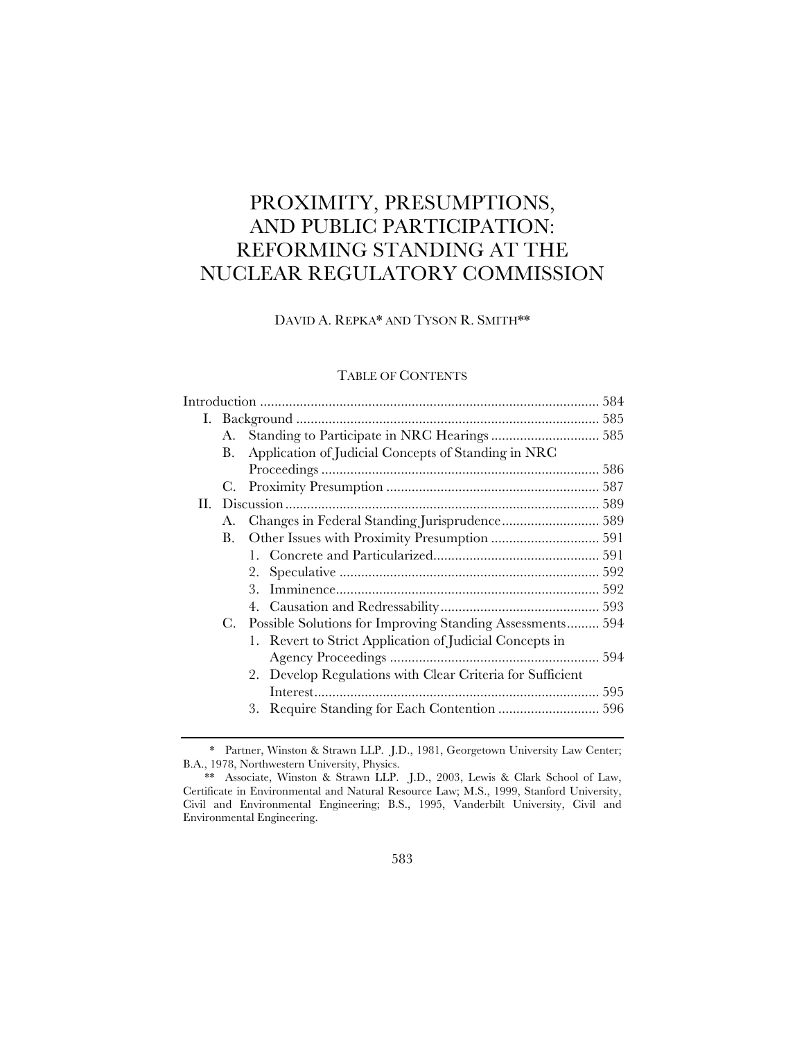# PROXIMITY, PRESUMPTIONS, AND PUBLIC PARTICIPATION: REFORMING STANDING AT THE NUCLEAR REGULATORY COMMISSION

# DAVID A. REPKA\* AND TYSON R. SMITH\*\*

# TABLE OF CONTENTS

|    | А. |                                                           |  |
|----|----|-----------------------------------------------------------|--|
|    | В. | Application of Judicial Concepts of Standing in NRC       |  |
|    |    |                                                           |  |
|    |    |                                                           |  |
| П. |    |                                                           |  |
|    | А. | Changes in Federal Standing Jurisprudence 589             |  |
|    | В. |                                                           |  |
|    |    |                                                           |  |
|    |    |                                                           |  |
|    |    |                                                           |  |
|    |    |                                                           |  |
|    | C. | Possible Solutions for Improving Standing Assessments 594 |  |
|    |    | 1. Revert to Strict Application of Judicial Concepts in   |  |
|    |    |                                                           |  |
|    |    | 2. Develop Regulations with Clear Criteria for Sufficient |  |
|    |    |                                                           |  |
|    |    | 3.                                                        |  |
|    |    |                                                           |  |

<sup>\*</sup> Partner, Winston & Strawn LLP. J.D., 1981, Georgetown University Law Center; B.A., 1978, Northwestern University, Physics.

<sup>\*\*</sup> Associate, Winston & Strawn LLP. J.D., 2003, Lewis & Clark School of Law, Certificate in Environmental and Natural Resource Law; M.S., 1999, Stanford University, Civil and Environmental Engineering; B.S., 1995, Vanderbilt University, Civil and Environmental Engineering.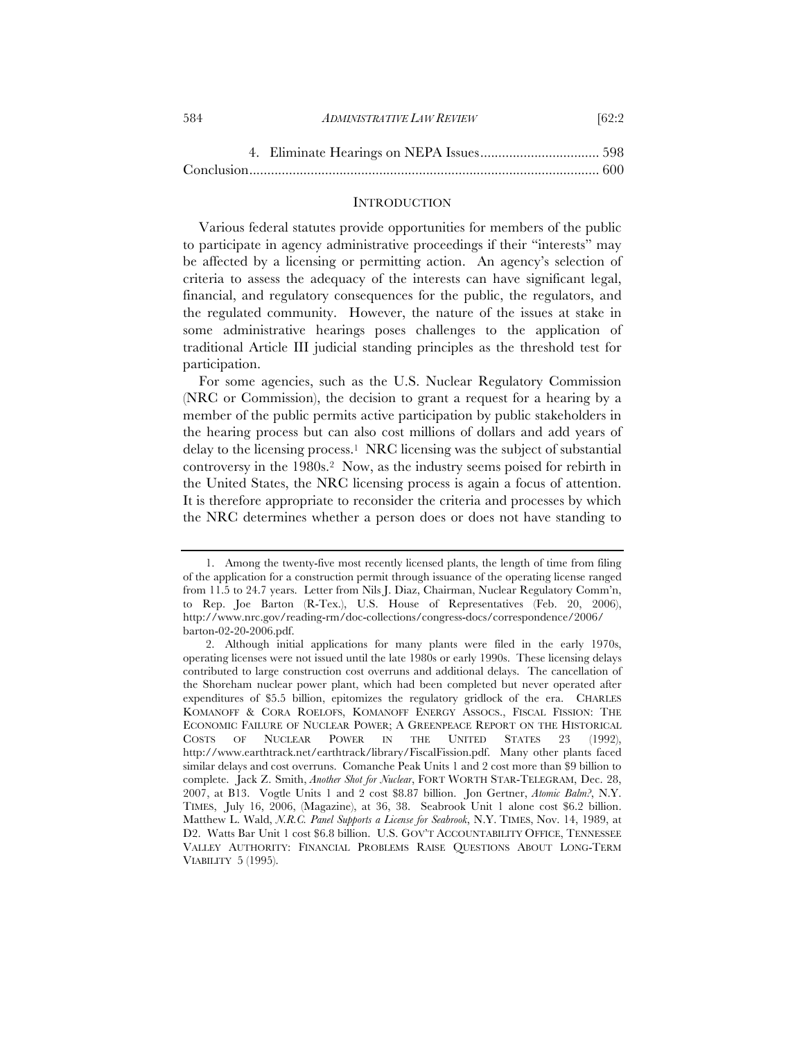#### 584 *ADMINISTRATIVE LAW REVIEW* [62:2

#### **INTRODUCTION**

Various federal statutes provide opportunities for members of the public to participate in agency administrative proceedings if their "interests" may be affected by a licensing or permitting action. An agency's selection of criteria to assess the adequacy of the interests can have significant legal, financial, and regulatory consequences for the public, the regulators, and the regulated community. However, the nature of the issues at stake in some administrative hearings poses challenges to the application of traditional Article III judicial standing principles as the threshold test for participation.

For some agencies, such as the U.S. Nuclear Regulatory Commission (NRC or Commission), the decision to grant a request for a hearing by a member of the public permits active participation by public stakeholders in the hearing process but can also cost millions of dollars and add years of delay to the licensing process.1 NRC licensing was the subject of substantial controversy in the 1980s.2 Now, as the industry seems poised for rebirth in the United States, the NRC licensing process is again a focus of attention. It is therefore appropriate to reconsider the criteria and processes by which the NRC determines whether a person does or does not have standing to

<sup>1.</sup> Among the twenty-five most recently licensed plants, the length of time from filing of the application for a construction permit through issuance of the operating license ranged from 11.5 to 24.7 years. Letter from Nils J. Diaz, Chairman, Nuclear Regulatory Comm'n, to Rep. Joe Barton (R-Tex.), U.S. House of Representatives (Feb. 20, 2006), http://www.nrc.gov/reading-rm/doc-collections/congress-docs/correspondence/2006/ barton-02-20-2006.pdf.

<sup>2.</sup> Although initial applications for many plants were filed in the early 1970s, operating licenses were not issued until the late 1980s or early 1990s. These licensing delays contributed to large construction cost overruns and additional delays. The cancellation of the Shoreham nuclear power plant, which had been completed but never operated after expenditures of \$5.5 billion, epitomizes the regulatory gridlock of the era. CHARLES KOMANOFF & CORA ROELOFS, KOMANOFF ENERGY ASSOCS., FISCAL FISSION: THE ECONOMIC FAILURE OF NUCLEAR POWER; A GREENPEACE REPORT ON THE HISTORICAL COSTS OF NUCLEAR POWER IN THE UNITED STATES 23 (1992), http://www.earthtrack.net/earthtrack/library/FiscalFission.pdf. Many other plants faced similar delays and cost overruns. Comanche Peak Units 1 and 2 cost more than \$9 billion to complete. Jack Z. Smith, *Another Shot for Nuclear*, FORT WORTH STAR-TELEGRAM, Dec. 28, 2007, at B13. Vogtle Units 1 and 2 cost \$8.87 billion. Jon Gertner, *Atomic Balm?*, N.Y. TIMES, July 16, 2006, (Magazine), at 36, 38. Seabrook Unit 1 alone cost \$6.2 billion. Matthew L. Wald, *N.R.C. Panel Supports a License for Seabrook*, N.Y. TIMES, Nov. 14, 1989, at D2. Watts Bar Unit 1 cost \$6.8 billion. U.S. GOV'T ACCOUNTABILITY OFFICE, TENNESSEE VALLEY AUTHORITY: FINANCIAL PROBLEMS RAISE QUESTIONS ABOUT LONG-TERM VIABILITY 5 (1995).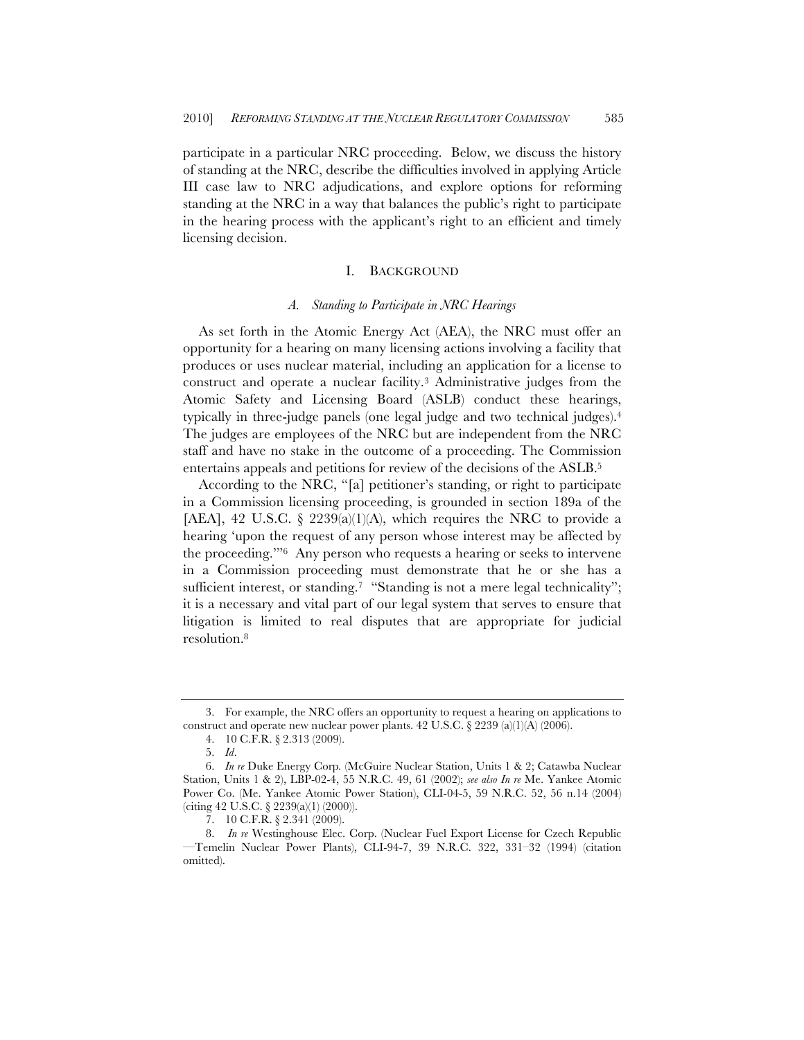participate in a particular NRC proceeding. Below, we discuss the history of standing at the NRC, describe the difficulties involved in applying Article III case law to NRC adjudications, and explore options for reforming standing at the NRC in a way that balances the public's right to participate in the hearing process with the applicant's right to an efficient and timely licensing decision.

# I. BACKGROUND

## *A. Standing to Participate in NRC Hearings*

As set forth in the Atomic Energy Act (AEA), the NRC must offer an opportunity for a hearing on many licensing actions involving a facility that produces or uses nuclear material, including an application for a license to construct and operate a nuclear facility.3 Administrative judges from the Atomic Safety and Licensing Board (ASLB) conduct these hearings, typically in three-judge panels (one legal judge and two technical judges).4 The judges are employees of the NRC but are independent from the NRC staff and have no stake in the outcome of a proceeding. The Commission entertains appeals and petitions for review of the decisions of the ASLB.5

According to the NRC, "[a] petitioner's standing, or right to participate in a Commission licensing proceeding, is grounded in section 189a of the [AEA], 42 U.S.C. § 2239(a)(1)(A), which requires the NRC to provide a hearing 'upon the request of any person whose interest may be affected by the proceeding.'"6 Any person who requests a hearing or seeks to intervene in a Commission proceeding must demonstrate that he or she has a sufficient interest, or standing.<sup>7</sup> "Standing is not a mere legal technicality"; it is a necessary and vital part of our legal system that serves to ensure that litigation is limited to real disputes that are appropriate for judicial resolution.8

<sup>3.</sup> For example, the NRC offers an opportunity to request a hearing on applications to construct and operate new nuclear power plants. 42 U.S.C. § 2239 (a)(1)(A) (2006).

<sup>4.</sup> 10 C.F.R. § 2.313 (2009).

<sup>5.</sup> *Id*.

<sup>6.</sup> *In re* Duke Energy Corp*.* (McGuire Nuclear Station, Units 1 & 2; Catawba Nuclear Station, Units 1 & 2), LBP-02-4, 55 N.R.C. 49, 61 (2002); *see also In re* Me. Yankee Atomic Power Co. (Me. Yankee Atomic Power Station), CLI-04-5, 59 N.R.C. 52, 56 n.14 (2004) (citing 42 U.S.C. § 2239(a)(1) (2000)).

<sup>7.</sup> 10 C.F.R. § 2.341 (2009).

<sup>8.</sup> *In re* Westinghouse Elec. Corp. (Nuclear Fuel Export License for Czech Republic —Temelin Nuclear Power Plants), CLI-94-7, 39 N.R.C. 322, 331–32 (1994) (citation omitted).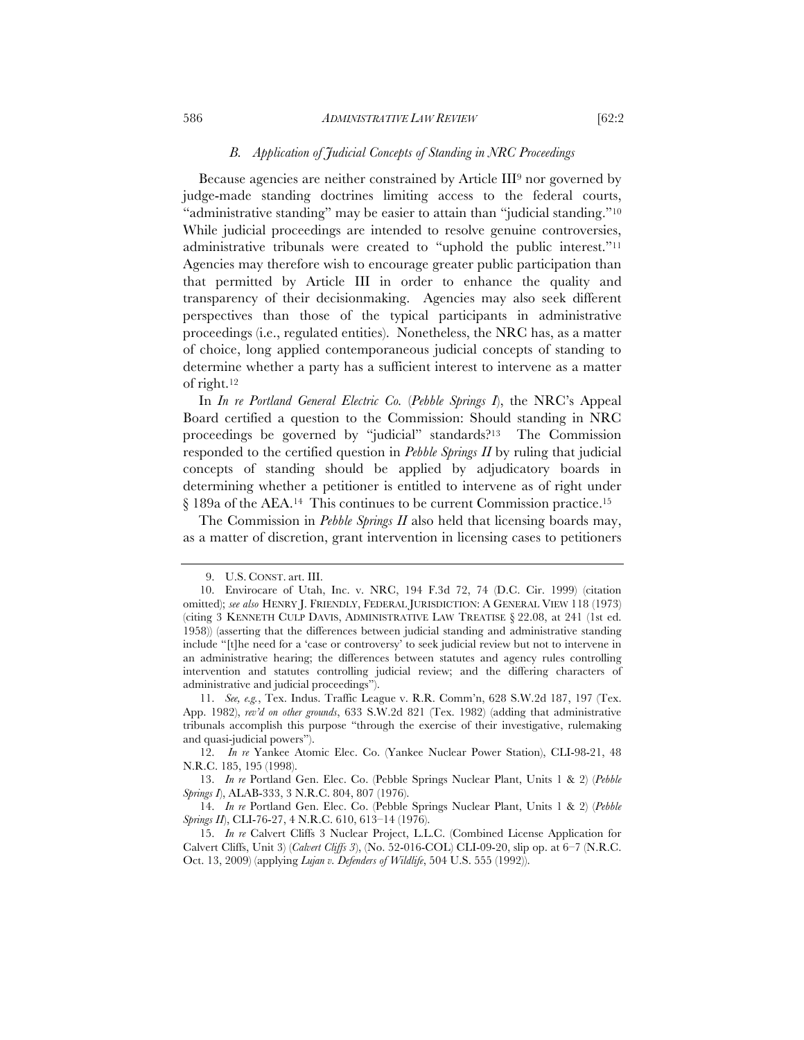# *B. Application of Judicial Concepts of Standing in NRC Proceedings*

Because agencies are neither constrained by Article III9 nor governed by judge-made standing doctrines limiting access to the federal courts, "administrative standing" may be easier to attain than "judicial standing."10 While judicial proceedings are intended to resolve genuine controversies, administrative tribunals were created to "uphold the public interest."11 Agencies may therefore wish to encourage greater public participation than that permitted by Article III in order to enhance the quality and transparency of their decisionmaking. Agencies may also seek different perspectives than those of the typical participants in administrative proceedings (i.e., regulated entities). Nonetheless, the NRC has, as a matter of choice, long applied contemporaneous judicial concepts of standing to determine whether a party has a sufficient interest to intervene as a matter of right.12

In *In re Portland General Electric Co.* (*Pebble Springs I*), the NRC's Appeal Board certified a question to the Commission: Should standing in NRC proceedings be governed by "judicial" standards?13 The Commission responded to the certified question in *Pebble Springs II* by ruling that judicial concepts of standing should be applied by adjudicatory boards in determining whether a petitioner is entitled to intervene as of right under § 189a of the AEA.14 This continues to be current Commission practice.15

The Commission in *Pebble Springs II* also held that licensing boards may, as a matter of discretion, grant intervention in licensing cases to petitioners

<sup>9.</sup> U.S. CONST. art. III.

<sup>10.</sup> Envirocare of Utah, Inc. v. NRC, 194 F.3d 72, 74 (D.C. Cir. 1999) (citation omitted); *see also* HENRY J. FRIENDLY, FEDERAL JURISDICTION: A GENERAL VIEW 118 (1973) (citing 3 KENNETH CULP DAVIS, ADMINISTRATIVE LAW TREATISE § 22.08, at 241 (1st ed. 1958)) (asserting that the differences between judicial standing and administrative standing include "[t]he need for a 'case or controversy' to seek judicial review but not to intervene in an administrative hearing; the differences between statutes and agency rules controlling intervention and statutes controlling judicial review; and the differing characters of administrative and judicial proceedings").

<sup>11.</sup> *See, e.g.*, Tex. Indus. Traffic League v. R.R. Comm'n, 628 S.W.2d 187, 197 (Tex. App. 1982), *rev'd on other grounds*, 633 S.W.2d 821 (Tex. 1982) (adding that administrative tribunals accomplish this purpose "through the exercise of their investigative, rulemaking and quasi-judicial powers").

<sup>12.</sup> *In re* Yankee Atomic Elec. Co. (Yankee Nuclear Power Station), CLI-98-21, 48 N.R.C. 185, 195 (1998).

<sup>13.</sup> *In re* Portland Gen. Elec. Co. (Pebble Springs Nuclear Plant, Units 1 & 2) (*Pebble Springs I*), ALAB-333, 3 N.R.C. 804, 807 (1976).

<sup>14.</sup> *In re* Portland Gen. Elec. Co. (Pebble Springs Nuclear Plant, Units 1 & 2) (*Pebble Springs II*), CLI-76-27, 4 N.R.C. 610, 613–14 (1976).

<sup>15.</sup> *In re* Calvert Cliffs 3 Nuclear Project, L.L.C. (Combined License Application for Calvert Cliffs, Unit 3) (*Calvert Cliffs 3*), (No. 52-016-COL) CLI-09-20, slip op. at 6–7 (N.R.C. Oct. 13, 2009) (applying *Lujan v. Defenders of Wildlife*, 504 U.S. 555 (1992)).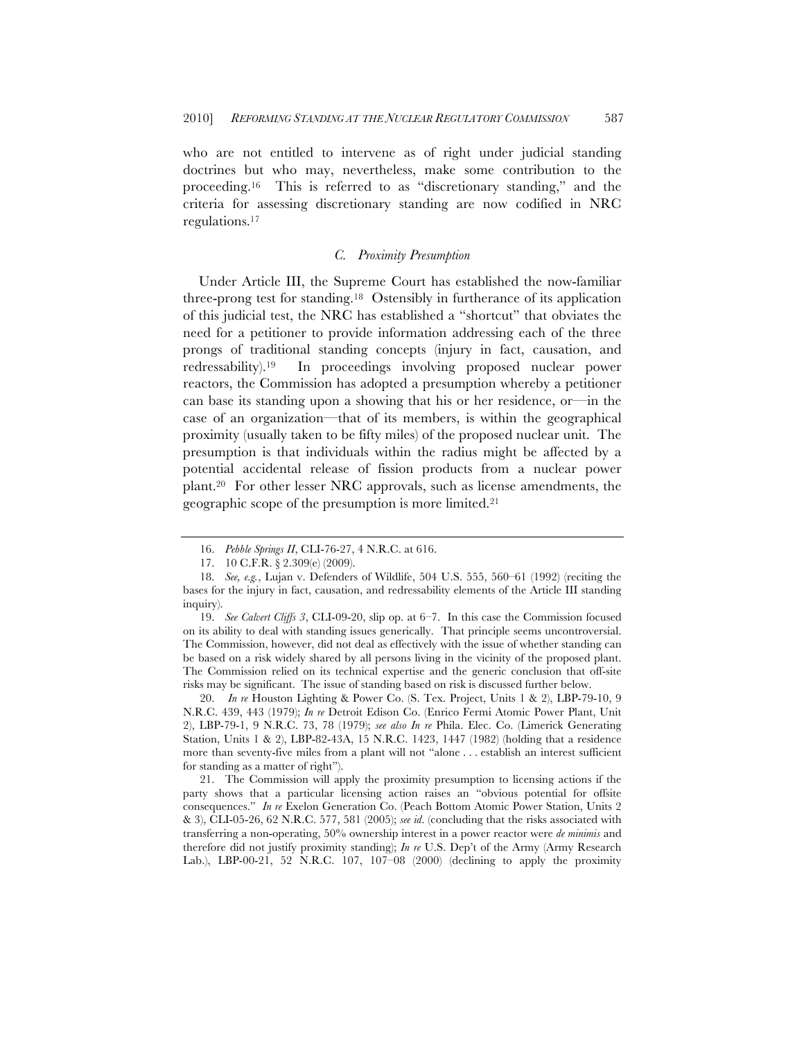who are not entitled to intervene as of right under judicial standing doctrines but who may, nevertheless, make some contribution to the proceeding.16 This is referred to as "discretionary standing," and the criteria for assessing discretionary standing are now codified in NRC regulations.17

## *C. Proximity Presumption*

Under Article III, the Supreme Court has established the now-familiar three-prong test for standing.18 Ostensibly in furtherance of its application of this judicial test, the NRC has established a "shortcut" that obviates the need for a petitioner to provide information addressing each of the three prongs of traditional standing concepts (injury in fact, causation, and redressability).19 In proceedings involving proposed nuclear power reactors, the Commission has adopted a presumption whereby a petitioner can base its standing upon a showing that his or her residence, or—in the case of an organization—that of its members, is within the geographical proximity (usually taken to be fifty miles) of the proposed nuclear unit. The presumption is that individuals within the radius might be affected by a potential accidental release of fission products from a nuclear power plant.20 For other lesser NRC approvals, such as license amendments, the geographic scope of the presumption is more limited.21

20. *In re* Houston Lighting & Power Co. (S. Tex. Project, Units 1 & 2), LBP-79-10, 9 N.R.C. 439, 443 (1979); *In re* Detroit Edison Co. (Enrico Fermi Atomic Power Plant, Unit 2), LBP-79-1, 9 N.R.C. 73, 78 (1979); *see also In re* Phila. Elec. Co. (Limerick Generating Station, Units 1 & 2), LBP-82-43A, 15 N.R.C. 1423, 1447 (1982) (holding that a residence more than seventy-five miles from a plant will not "alone . . . establish an interest sufficient for standing as a matter of right").

21. The Commission will apply the proximity presumption to licensing actions if the party shows that a particular licensing action raises an "obvious potential for offsite consequences." *In re* Exelon Generation Co. (Peach Bottom Atomic Power Station, Units 2 & 3), CLI-05-26, 62 N.R.C. 577, 581 (2005); *see id*. (concluding that the risks associated with transferring a non-operating, 50% ownership interest in a power reactor were *de minimis* and therefore did not justify proximity standing); *In re* U.S. Dep't of the Army (Army Research Lab.), LBP-00-21, 52 N.R.C. 107, 107–08 (2000) (declining to apply the proximity

<sup>16.</sup> *Pebble Springs II*, CLI-76-27, 4 N.R.C. at 616.

<sup>17.</sup> 10 C.F.R. § 2.309(e) (2009).

<sup>18.</sup> *See, e.g.*, Lujan v. Defenders of Wildlife, 504 U.S. 555, 560–61 (1992) (reciting the bases for the injury in fact, causation, and redressability elements of the Article III standing inquiry).

<sup>19.</sup> *See Calvert Cliffs 3*, CLI-09-20, slip op. at 6–7. In this case the Commission focused on its ability to deal with standing issues generically. That principle seems uncontroversial. The Commission, however, did not deal as effectively with the issue of whether standing can be based on a risk widely shared by all persons living in the vicinity of the proposed plant. The Commission relied on its technical expertise and the generic conclusion that off-site risks may be significant. The issue of standing based on risk is discussed further below.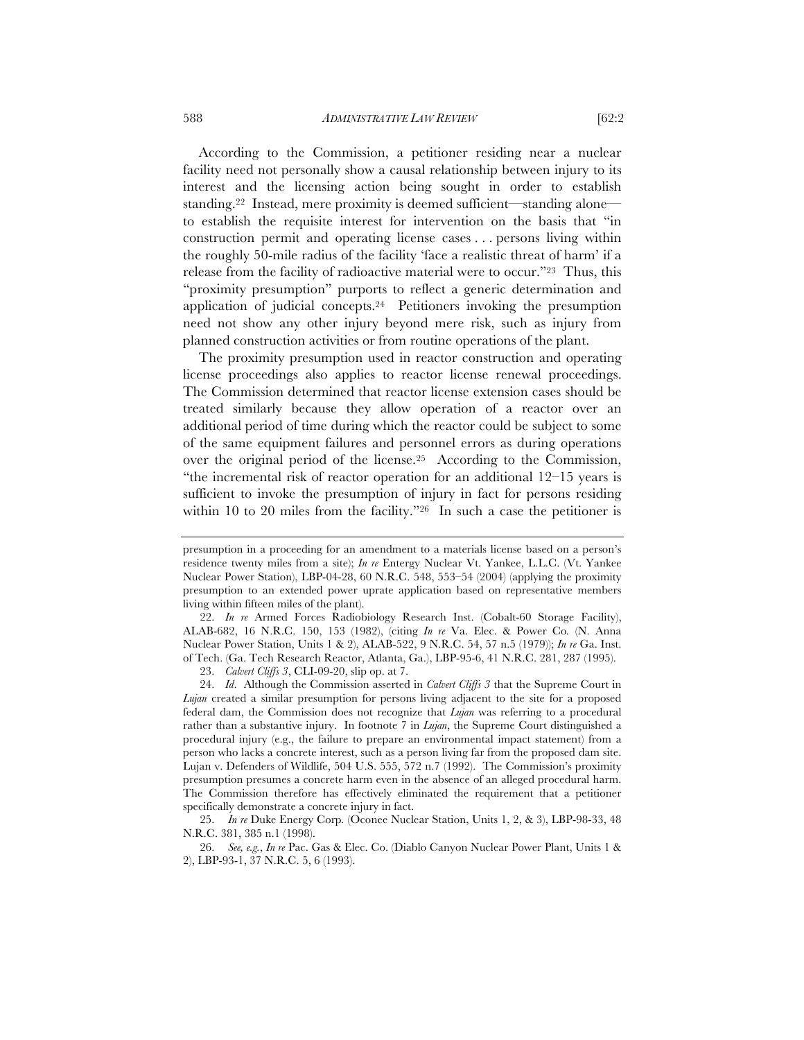According to the Commission, a petitioner residing near a nuclear facility need not personally show a causal relationship between injury to its interest and the licensing action being sought in order to establish standing.22 Instead, mere proximity is deemed sufficient—standing alone to establish the requisite interest for intervention on the basis that "in construction permit and operating license cases . . . persons living within the roughly 50-mile radius of the facility 'face a realistic threat of harm' if a release from the facility of radioactive material were to occur."23 Thus, this "proximity presumption" purports to reflect a generic determination and application of judicial concepts.24 Petitioners invoking the presumption need not show any other injury beyond mere risk, such as injury from planned construction activities or from routine operations of the plant.

The proximity presumption used in reactor construction and operating license proceedings also applies to reactor license renewal proceedings. The Commission determined that reactor license extension cases should be treated similarly because they allow operation of a reactor over an additional period of time during which the reactor could be subject to some of the same equipment failures and personnel errors as during operations over the original period of the license.25 According to the Commission, "the incremental risk of reactor operation for an additional 12–15 years is sufficient to invoke the presumption of injury in fact for persons residing within 10 to 20 miles from the facility."<sup>26</sup> In such a case the petitioner is

23. *Calvert Cliffs 3*, CLI-09-20, slip op. at 7.

presumption in a proceeding for an amendment to a materials license based on a person's residence twenty miles from a site); *In re* Entergy Nuclear Vt. Yankee, L.L.C. (Vt. Yankee Nuclear Power Station), LBP-04-28, 60 N.R.C. 548, 553–54 (2004) (applying the proximity presumption to an extended power uprate application based on representative members living within fifteen miles of the plant).

<sup>22.</sup> *In re* Armed Forces Radiobiology Research Inst. (Cobalt-60 Storage Facility), ALAB-682, 16 N.R.C. 150, 153 (1982), (citing *In re* Va. Elec. & Power Co*.* (N. Anna Nuclear Power Station, Units 1 & 2), ALAB-522, 9 N.R.C. 54, 57 n.5 (1979)); *In re* Ga. Inst. of Tech. (Ga. Tech Research Reactor, Atlanta, Ga.), LBP-95-6, 41 N.R.C. 281, 287 (1995).

<sup>24.</sup> *Id*. Although the Commission asserted in *Calvert Cliffs 3* that the Supreme Court in *Lujan* created a similar presumption for persons living adjacent to the site for a proposed federal dam, the Commission does not recognize that *Lujan* was referring to a procedural rather than a substantive injury. In footnote 7 in *Lujan*, the Supreme Court distinguished a procedural injury (e.g., the failure to prepare an environmental impact statement) from a person who lacks a concrete interest, such as a person living far from the proposed dam site. Lujan v. Defenders of Wildlife, 504 U.S. 555, 572 n.7 (1992). The Commission's proximity presumption presumes a concrete harm even in the absence of an alleged procedural harm. The Commission therefore has effectively eliminated the requirement that a petitioner specifically demonstrate a concrete injury in fact.

<sup>25.</sup> *In re* Duke Energy Corp*.* (Oconee Nuclear Station, Units 1, 2, & 3), LBP-98-33, 48 N.R.C. 381, 385 n.1 (1998).

<sup>26.</sup> *See, e.g.*, *In re* Pac. Gas & Elec. Co. (Diablo Canyon Nuclear Power Plant, Units 1 & 2), LBP-93-1, 37 N.R.C. 5, 6 (1993).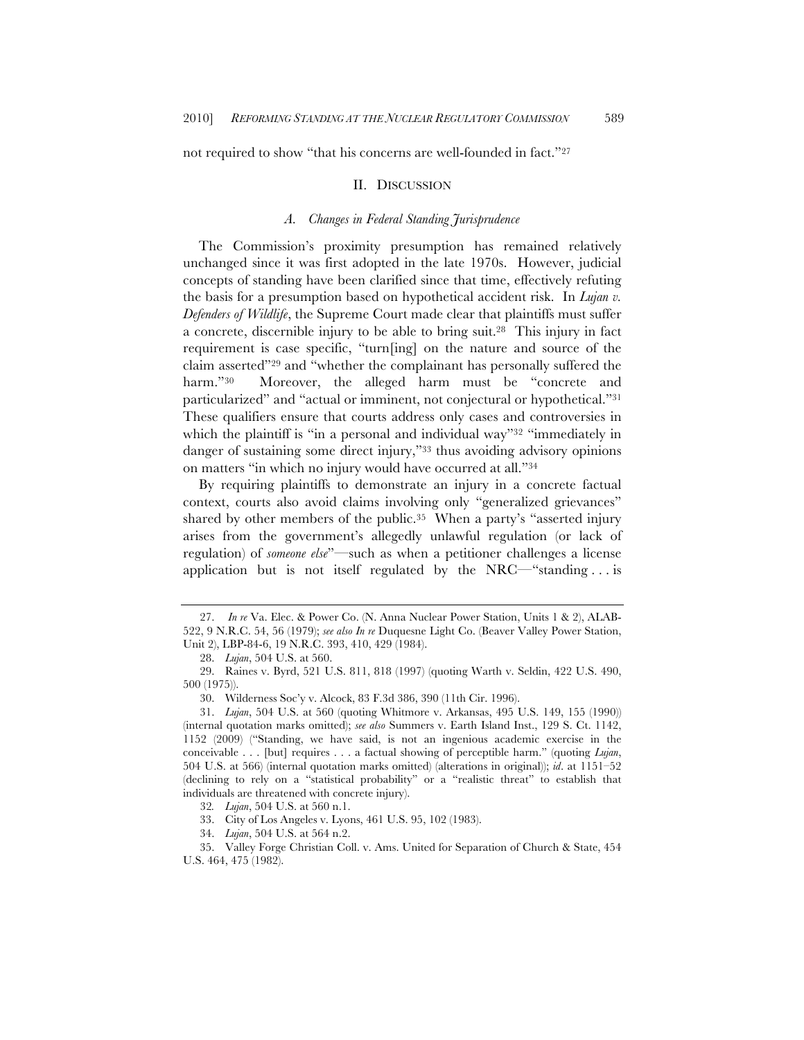not required to show "that his concerns are well-founded in fact."27

#### II. DISCUSSION

# *A. Changes in Federal Standing Jurisprudence*

The Commission's proximity presumption has remained relatively unchanged since it was first adopted in the late 1970s. However, judicial concepts of standing have been clarified since that time, effectively refuting the basis for a presumption based on hypothetical accident risk. In *Lujan v. Defenders of Wildlife*, the Supreme Court made clear that plaintiffs must suffer a concrete, discernible injury to be able to bring suit.28 This injury in fact requirement is case specific, "turn[ing] on the nature and source of the claim asserted"29 and "whether the complainant has personally suffered the harm."<sup>30</sup> Moreover, the alleged harm must be "concrete and particularized" and "actual or imminent, not conjectural or hypothetical."31 These qualifiers ensure that courts address only cases and controversies in which the plaintiff is "in a personal and individual way"<sup>32</sup> "immediately in danger of sustaining some direct injury,"33 thus avoiding advisory opinions on matters "in which no injury would have occurred at all."34

By requiring plaintiffs to demonstrate an injury in a concrete factual context, courts also avoid claims involving only "generalized grievances" shared by other members of the public.<sup>35</sup> When a party's "asserted injury arises from the government's allegedly unlawful regulation (or lack of regulation) of *someone else*"—such as when a petitioner challenges a license application but is not itself regulated by the  $NRC$ —"standing ... is

32*. Lujan*, 504 U.S. at 560 n.1.

34. *Lujan*, 504 U.S. at 564 n.2.

<sup>27.</sup> *In re* Va. Elec. & Power Co. (N. Anna Nuclear Power Station, Units 1 & 2), ALAB-522, 9 N.R.C. 54, 56 (1979); *see also In re* Duquesne Light Co. (Beaver Valley Power Station, Unit 2), LBP-84-6, 19 N.R.C. 393, 410, 429 (1984).

<sup>28.</sup> *Lujan*, 504 U.S. at 560.

<sup>29.</sup> Raines v. Byrd, 521 U.S. 811, 818 (1997) (quoting Warth v. Seldin, 422 U.S. 490, 500 (1975)).

<sup>30.</sup> Wilderness Soc'y v. Alcock, 83 F.3d 386, 390 (11th Cir. 1996).

<sup>31.</sup> *Lujan*, 504 U.S. at 560 (quoting Whitmore v. Arkansas, 495 U.S. 149, 155 (1990)) (internal quotation marks omitted); *see also* Summers v. Earth Island Inst., 129 S. Ct. 1142, 1152 (2009) ("Standing, we have said, is not an ingenious academic exercise in the conceivable . . . [but] requires . . . a factual showing of perceptible harm." (quoting *Lujan*, 504 U.S. at 566) (internal quotation marks omitted) (alterations in original)); *id*. at 1151–52 (declining to rely on a "statistical probability" or a "realistic threat" to establish that individuals are threatened with concrete injury).

<sup>33.</sup> City of Los Angeles v. Lyons, 461 U.S. 95, 102 (1983).

<sup>35.</sup> Valley Forge Christian Coll. v. Ams. United for Separation of Church & State, 454 U.S. 464, 475 (1982).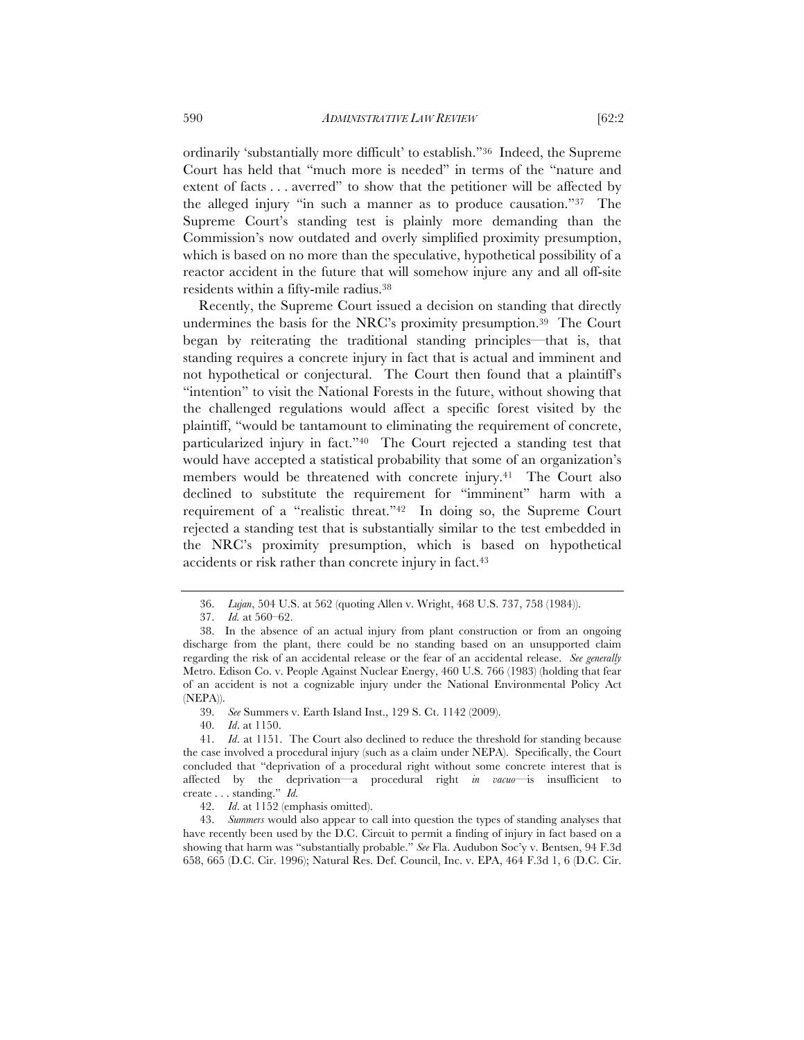ordinarily 'substantially more difficult' to establish."36 Indeed, the Supreme Court has held that "much more is needed" in terms of the "nature and extent of facts . . . averred" to show that the petitioner will be affected by the alleged injury "in such a manner as to produce causation."37 The Supreme Court's standing test is plainly more demanding than the Commission's now outdated and overly simplified proximity presumption, which is based on no more than the speculative, hypothetical possibility of a reactor accident in the future that will somehow injure any and all off-site residents within a fifty-mile radius.38

Recently, the Supreme Court issued a decision on standing that directly undermines the basis for the NRC's proximity presumption.39 The Court began by reiterating the traditional standing principles—that is, that standing requires a concrete injury in fact that is actual and imminent and not hypothetical or conjectural. The Court then found that a plaintiff's "intention" to visit the National Forests in the future, without showing that the challenged regulations would affect a specific forest visited by the plaintiff, "would be tantamount to eliminating the requirement of concrete, particularized injury in fact."40 The Court rejected a standing test that would have accepted a statistical probability that some of an organization's members would be threatened with concrete injury.<sup>41</sup> The Court also declined to substitute the requirement for "imminent" harm with a requirement of a "realistic threat."42 In doing so, the Supreme Court rejected a standing test that is substantially similar to the test embedded in the NRC's proximity presumption, which is based on hypothetical accidents or risk rather than concrete injury in fact.43

39. *See* Summers v. Earth Island Inst., 129 S. Ct. 1142 (2009).

40. *Id*. at 1150.

43. *Summers* would also appear to call into question the types of standing analyses that have recently been used by the D.C. Circuit to permit a finding of injury in fact based on a showing that harm was "substantially probable." *See* Fla. Audubon Soc'y v. Bentsen, 94 F.3d 658, 665 (D.C. Cir. 1996); Natural Res. Def. Council, Inc. v. EPA, 464 F.3d 1, 6 (D.C. Cir.

<sup>36.</sup> *Lujan*, 504 U.S. at 562 (quoting Allen v. Wright, 468 U.S. 737, 758 (1984)).

<sup>37.</sup> *Id.* at 560–62.

<sup>38.</sup> In the absence of an actual injury from plant construction or from an ongoing discharge from the plant, there could be no standing based on an unsupported claim regarding the risk of an accidental release or the fear of an accidental release. *See generally* Metro. Edison Co. v. People Against Nuclear Energy, 460 U.S. 766 (1983) (holding that fear of an accident is not a cognizable injury under the National Environmental Policy Act (NEPA)).

<sup>41.</sup> *Id*. at 1151. The Court also declined to reduce the threshold for standing because the case involved a procedural injury (such as a claim under NEPA). Specifically, the Court concluded that "deprivation of a procedural right without some concrete interest that is affected by the deprivation—a procedural right *in vacuo*—is insufficient to create . . . standing." *Id.*

<sup>42.</sup> *Id*. at 1152 (emphasis omitted).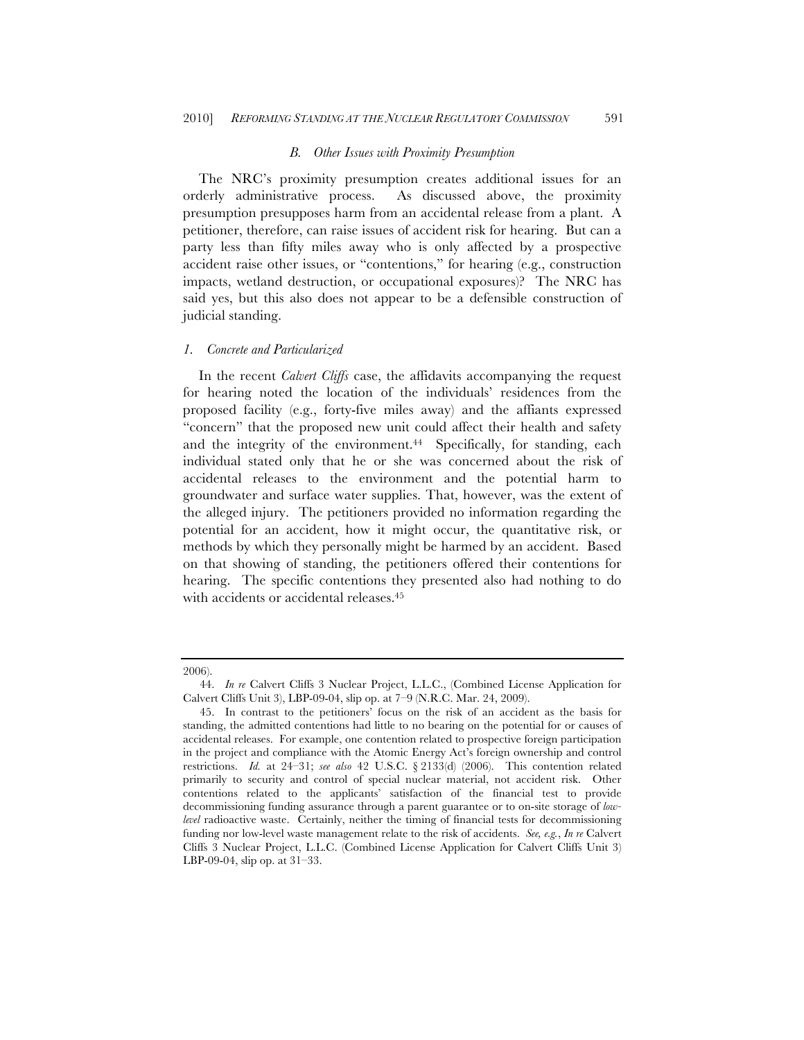#### *B. Other Issues with Proximity Presumption*

The NRC's proximity presumption creates additional issues for an orderly administrative process. As discussed above, the proximity presumption presupposes harm from an accidental release from a plant. A petitioner, therefore, can raise issues of accident risk for hearing. But can a party less than fifty miles away who is only affected by a prospective accident raise other issues, or "contentions," for hearing (e.g., construction impacts, wetland destruction, or occupational exposures)? The NRC has said yes, but this also does not appear to be a defensible construction of judicial standing.

# *1. Concrete and Particularized*

In the recent *Calvert Cliffs* case, the affidavits accompanying the request for hearing noted the location of the individuals' residences from the proposed facility (e.g., forty-five miles away) and the affiants expressed "concern" that the proposed new unit could affect their health and safety and the integrity of the environment.<sup>44</sup> Specifically, for standing, each individual stated only that he or she was concerned about the risk of accidental releases to the environment and the potential harm to groundwater and surface water supplies. That, however, was the extent of the alleged injury. The petitioners provided no information regarding the potential for an accident, how it might occur, the quantitative risk, or methods by which they personally might be harmed by an accident. Based on that showing of standing, the petitioners offered their contentions for hearing. The specific contentions they presented also had nothing to do with accidents or accidental releases.<sup>45</sup>

<sup>2006).</sup>

<sup>44.</sup> *In re* Calvert Cliffs 3 Nuclear Project, L.L.C., (Combined License Application for Calvert Cliffs Unit 3), LBP-09-04, slip op. at 7–9 (N.R.C. Mar. 24, 2009).

<sup>45.</sup> In contrast to the petitioners' focus on the risk of an accident as the basis for standing, the admitted contentions had little to no bearing on the potential for or causes of accidental releases. For example, one contention related to prospective foreign participation in the project and compliance with the Atomic Energy Act's foreign ownership and control restrictions. *Id.* at 24–31; *see also* 42 U.S.C. § 2133(d) (2006). This contention related primarily to security and control of special nuclear material, not accident risk. Other contentions related to the applicants' satisfaction of the financial test to provide decommissioning funding assurance through a parent guarantee or to on-site storage of *lowlevel* radioactive waste. Certainly, neither the timing of financial tests for decommissioning funding nor low-level waste management relate to the risk of accidents. *See, e.g.*, *In re* Calvert Cliffs 3 Nuclear Project, L.L.C. (Combined License Application for Calvert Cliffs Unit 3) LBP-09-04, slip op. at 31–33.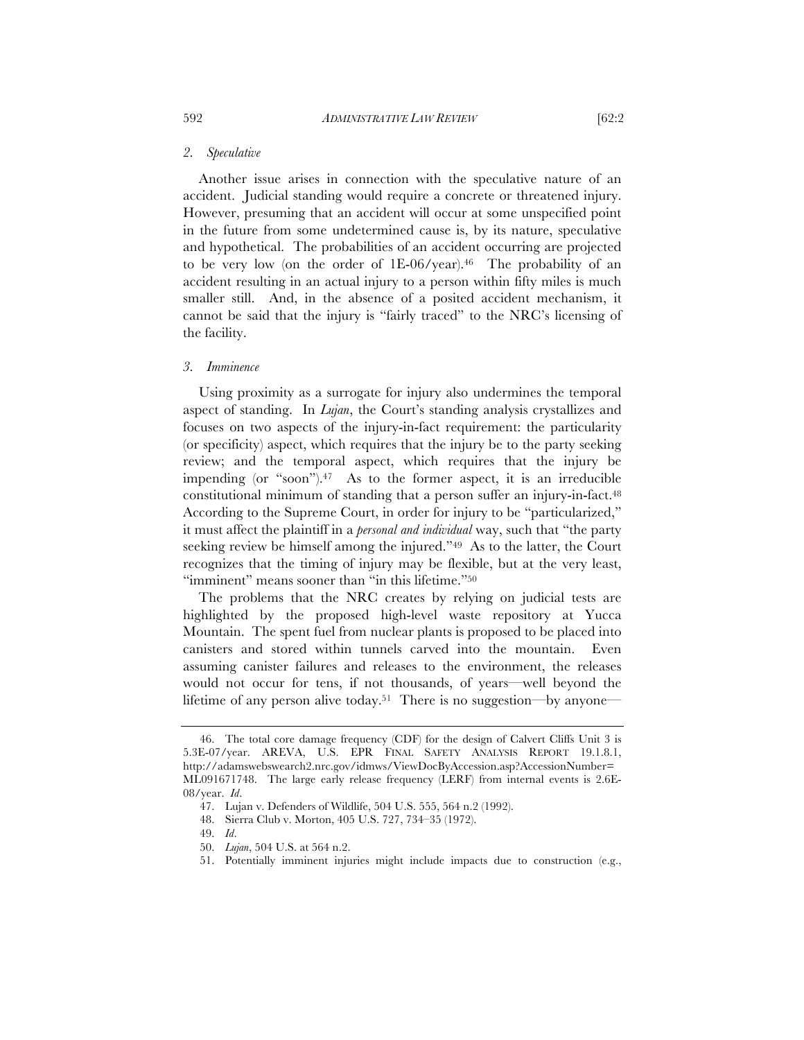Another issue arises in connection with the speculative nature of an accident. Judicial standing would require a concrete or threatened injury. However, presuming that an accident will occur at some unspecified point in the future from some undetermined cause is, by its nature, speculative and hypothetical. The probabilities of an accident occurring are projected to be very low (on the order of 1E-06/year).46 The probability of an accident resulting in an actual injury to a person within fifty miles is much smaller still. And, in the absence of a posited accident mechanism, it cannot be said that the injury is "fairly traced" to the NRC's licensing of the facility.

# *3. Imminence*

Using proximity as a surrogate for injury also undermines the temporal aspect of standing. In *Lujan*, the Court's standing analysis crystallizes and focuses on two aspects of the injury-in-fact requirement: the particularity (or specificity) aspect, which requires that the injury be to the party seeking review; and the temporal aspect, which requires that the injury be impending (or "soon"). $47$  As to the former aspect, it is an irreducible constitutional minimum of standing that a person suffer an injury-in-fact.48 According to the Supreme Court, in order for injury to be "particularized," it must affect the plaintiff in a *personal and individual* way, such that "the party seeking review be himself among the injured."49 As to the latter, the Court recognizes that the timing of injury may be flexible, but at the very least, "imminent" means sooner than "in this lifetime."50

The problems that the NRC creates by relying on judicial tests are highlighted by the proposed high-level waste repository at Yucca Mountain. The spent fuel from nuclear plants is proposed to be placed into canisters and stored within tunnels carved into the mountain. Even assuming canister failures and releases to the environment, the releases would not occur for tens, if not thousands, of years—well beyond the lifetime of any person alive today.<sup>51</sup> There is no suggestion—by anyone—

<sup>46.</sup> The total core damage frequency (CDF) for the design of Calvert Cliffs Unit 3 is 5.3E-07/year. AREVA, U.S. EPR FINAL SAFETY ANALYSIS REPORT 19.1.8.1, http://adamswebswearch2.nrc.gov/idmws/ViewDocByAccession.asp?AccessionNumber= ML091671748. The large early release frequency (LERF) from internal events is 2.6E-08/year. *Id*.

<sup>47.</sup> Lujan v. Defenders of Wildlife, 504 U.S. 555, 564 n.2 (1992).

<sup>48.</sup> Sierra Club v. Morton, 405 U.S. 727, 734–35 (1972).

<sup>49.</sup> *Id*.

<sup>50.</sup> *Lujan*, 504 U.S. at 564 n.2.

<sup>51.</sup> Potentially imminent injuries might include impacts due to construction (e.g.,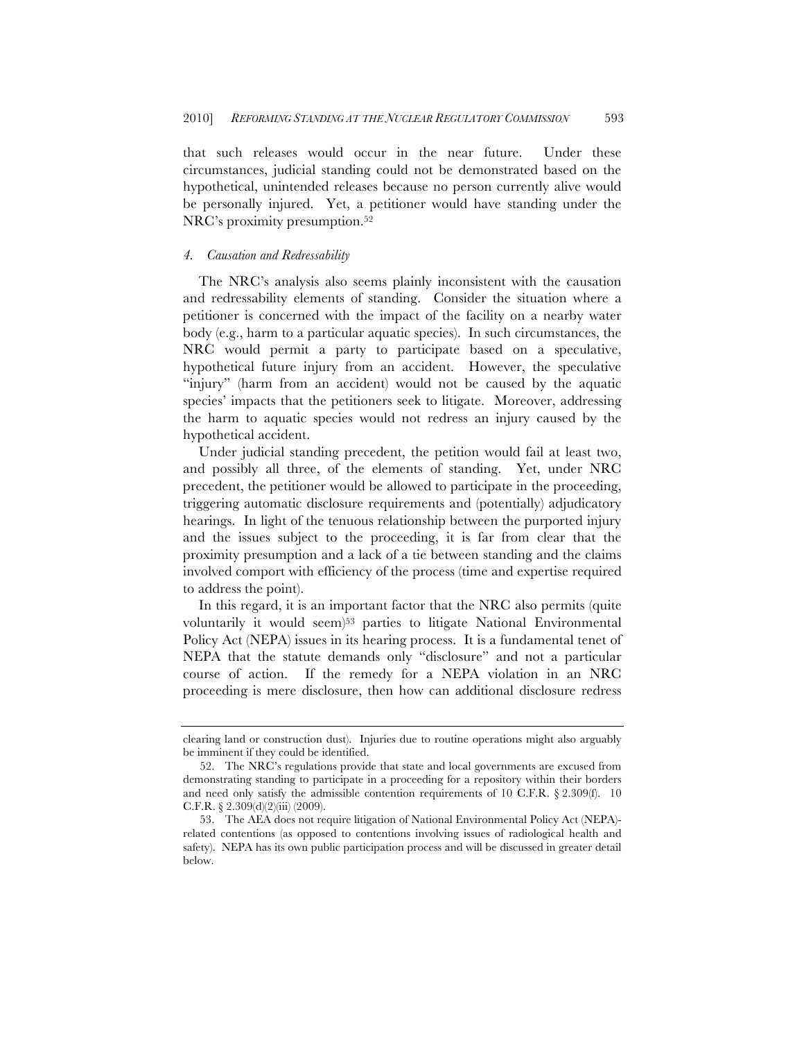that such releases would occur in the near future. Under these circumstances, judicial standing could not be demonstrated based on the hypothetical, unintended releases because no person currently alive would be personally injured. Yet, a petitioner would have standing under the NRC's proximity presumption.52

# *4. Causation and Redressability*

The NRC's analysis also seems plainly inconsistent with the causation and redressability elements of standing. Consider the situation where a petitioner is concerned with the impact of the facility on a nearby water body (e.g., harm to a particular aquatic species). In such circumstances, the NRC would permit a party to participate based on a speculative, hypothetical future injury from an accident. However, the speculative "injury" (harm from an accident) would not be caused by the aquatic species' impacts that the petitioners seek to litigate. Moreover, addressing the harm to aquatic species would not redress an injury caused by the hypothetical accident.

Under judicial standing precedent, the petition would fail at least two, and possibly all three, of the elements of standing. Yet, under NRC precedent, the petitioner would be allowed to participate in the proceeding, triggering automatic disclosure requirements and (potentially) adjudicatory hearings. In light of the tenuous relationship between the purported injury and the issues subject to the proceeding, it is far from clear that the proximity presumption and a lack of a tie between standing and the claims involved comport with efficiency of the process (time and expertise required to address the point).

In this regard, it is an important factor that the NRC also permits (quite voluntarily it would seem)53 parties to litigate National Environmental Policy Act (NEPA) issues in its hearing process. It is a fundamental tenet of NEPA that the statute demands only "disclosure" and not a particular course of action. If the remedy for a NEPA violation in an NRC proceeding is mere disclosure, then how can additional disclosure redress

clearing land or construction dust). Injuries due to routine operations might also arguably be imminent if they could be identified.

<sup>52.</sup> The NRC's regulations provide that state and local governments are excused from demonstrating standing to participate in a proceeding for a repository within their borders and need only satisfy the admissible contention requirements of 10 C.F.R.  $\S 2.309(f)$ . 10 C.F.R. § 2.309(d)(2)(iii) (2009).

<sup>53.</sup> The AEA does not require litigation of National Environmental Policy Act (NEPA) related contentions (as opposed to contentions involving issues of radiological health and safety). NEPA has its own public participation process and will be discussed in greater detail below.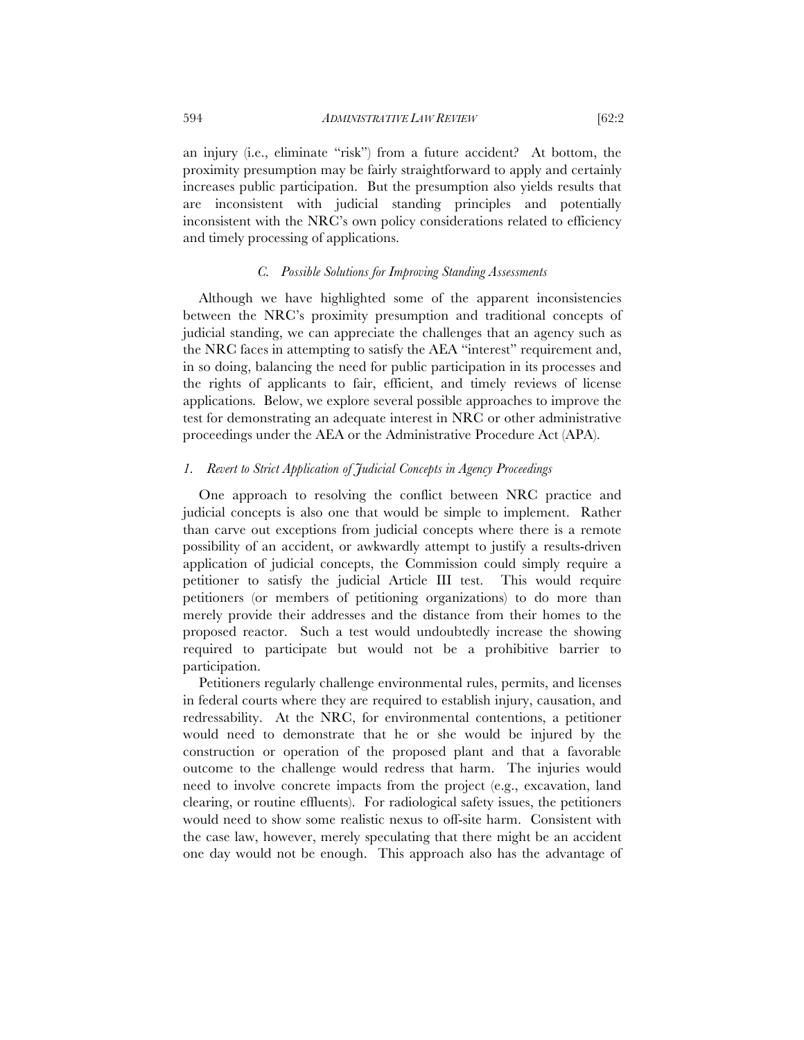an injury (i.e., eliminate "risk") from a future accident? At bottom, the proximity presumption may be fairly straightforward to apply and certainly increases public participation. But the presumption also yields results that are inconsistent with judicial standing principles and potentially inconsistent with the NRC's own policy considerations related to efficiency and timely processing of applications.

## *C. Possible Solutions for Improving Standing Assessments*

Although we have highlighted some of the apparent inconsistencies between the NRC's proximity presumption and traditional concepts of judicial standing, we can appreciate the challenges that an agency such as the NRC faces in attempting to satisfy the AEA "interest" requirement and, in so doing, balancing the need for public participation in its processes and the rights of applicants to fair, efficient, and timely reviews of license applications. Below, we explore several possible approaches to improve the test for demonstrating an adequate interest in NRC or other administrative proceedings under the AEA or the Administrative Procedure Act (APA).

# *1. Revert to Strict Application of Judicial Concepts in Agency Proceedings*

One approach to resolving the conflict between NRC practice and judicial concepts is also one that would be simple to implement. Rather than carve out exceptions from judicial concepts where there is a remote possibility of an accident, or awkwardly attempt to justify a results-driven application of judicial concepts, the Commission could simply require a petitioner to satisfy the judicial Article III test. This would require petitioners (or members of petitioning organizations) to do more than merely provide their addresses and the distance from their homes to the proposed reactor. Such a test would undoubtedly increase the showing required to participate but would not be a prohibitive barrier to participation.

Petitioners regularly challenge environmental rules, permits, and licenses in federal courts where they are required to establish injury, causation, and redressability. At the NRC, for environmental contentions, a petitioner would need to demonstrate that he or she would be injured by the construction or operation of the proposed plant and that a favorable outcome to the challenge would redress that harm. The injuries would need to involve concrete impacts from the project (e.g., excavation, land clearing, or routine effluents). For radiological safety issues, the petitioners would need to show some realistic nexus to off-site harm. Consistent with the case law, however, merely speculating that there might be an accident one day would not be enough. This approach also has the advantage of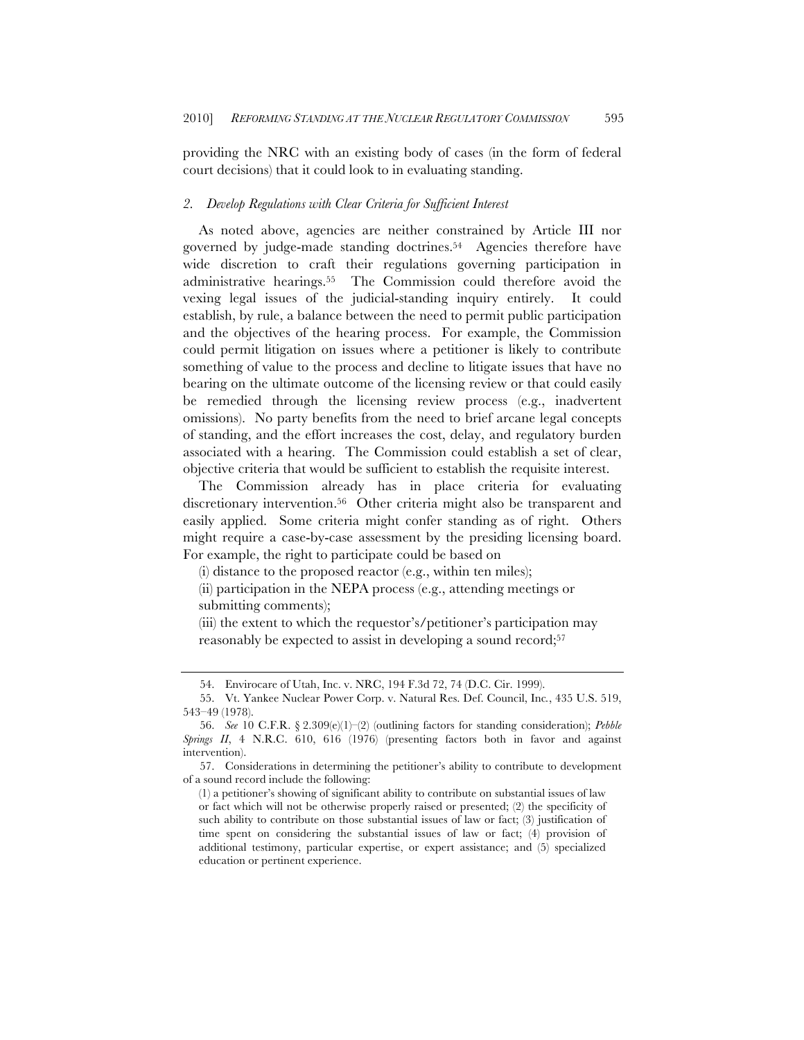providing the NRC with an existing body of cases (in the form of federal court decisions) that it could look to in evaluating standing.

## *2. Develop Regulations with Clear Criteria for Sufficient Interest*

As noted above, agencies are neither constrained by Article III nor governed by judge-made standing doctrines.54 Agencies therefore have wide discretion to craft their regulations governing participation in administrative hearings.55 The Commission could therefore avoid the vexing legal issues of the judicial-standing inquiry entirely. It could establish, by rule, a balance between the need to permit public participation and the objectives of the hearing process. For example, the Commission could permit litigation on issues where a petitioner is likely to contribute something of value to the process and decline to litigate issues that have no bearing on the ultimate outcome of the licensing review or that could easily be remedied through the licensing review process (e.g., inadvertent omissions). No party benefits from the need to brief arcane legal concepts of standing, and the effort increases the cost, delay, and regulatory burden associated with a hearing. The Commission could establish a set of clear, objective criteria that would be sufficient to establish the requisite interest.

The Commission already has in place criteria for evaluating discretionary intervention.56 Other criteria might also be transparent and easily applied. Some criteria might confer standing as of right. Others might require a case-by-case assessment by the presiding licensing board. For example, the right to participate could be based on

(i) distance to the proposed reactor (e.g., within ten miles);

<sup>(</sup>ii) participation in the NEPA process (e.g., attending meetings or submitting comments);

<sup>(</sup>iii) the extent to which the requestor's/petitioner's participation may reasonably be expected to assist in developing a sound record;57

<sup>54.</sup> Envirocare of Utah, Inc. v. NRC, 194 F.3d 72, 74 (D.C. Cir. 1999).

<sup>55.</sup> Vt. Yankee Nuclear Power Corp. v. Natural Res. Def. Council, Inc*.*, 435 U.S. 519, 543–49 (1978).

<sup>56.</sup> *See* 10 C.F.R. § 2.309(e)(1)–(2) (outlining factors for standing consideration); *Pebble Springs II*, 4 N.R.C. 610, 616 (1976) (presenting factors both in favor and against intervention).

<sup>57.</sup> Considerations in determining the petitioner's ability to contribute to development of a sound record include the following:

<sup>(1)</sup> a petitioner's showing of significant ability to contribute on substantial issues of law or fact which will not be otherwise properly raised or presented; (2) the specificity of such ability to contribute on those substantial issues of law or fact; (3) justification of time spent on considering the substantial issues of law or fact; (4) provision of additional testimony, particular expertise, or expert assistance; and (5) specialized education or pertinent experience.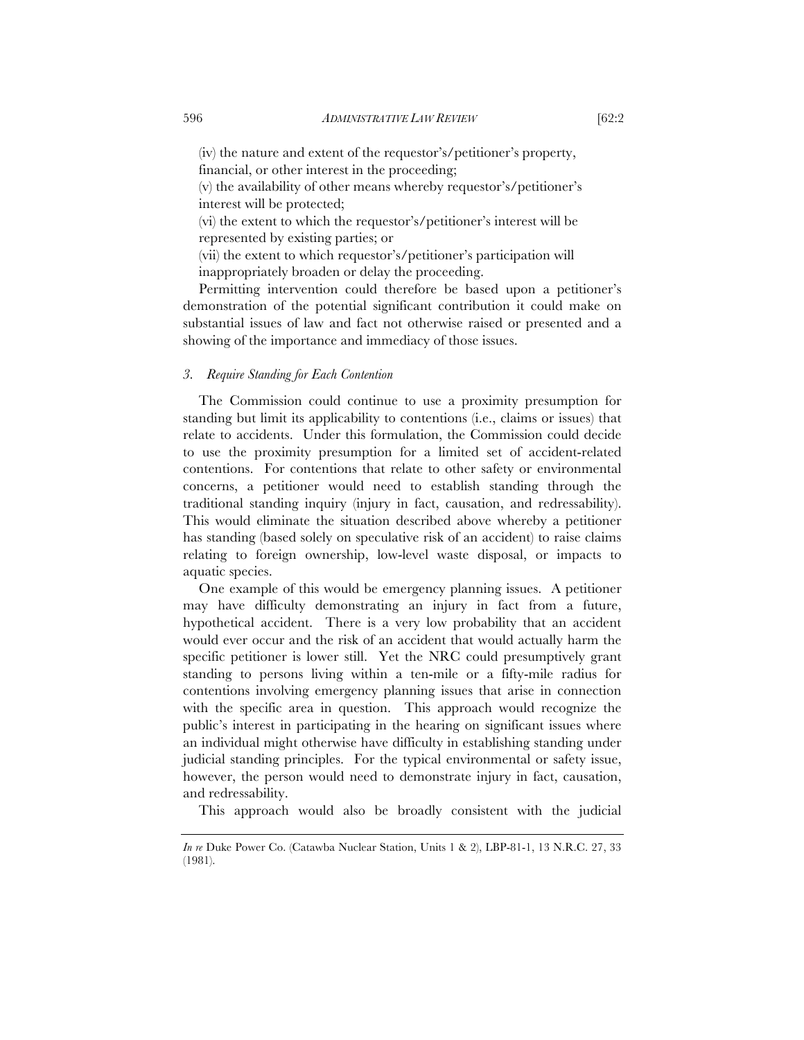(iv) the nature and extent of the requestor's/petitioner's property, financial, or other interest in the proceeding;

(v) the availability of other means whereby requestor's/petitioner's interest will be protected;

(vi) the extent to which the requestor's/petitioner's interest will be represented by existing parties; or

(vii) the extent to which requestor's/petitioner's participation will inappropriately broaden or delay the proceeding.

Permitting intervention could therefore be based upon a petitioner's demonstration of the potential significant contribution it could make on substantial issues of law and fact not otherwise raised or presented and a showing of the importance and immediacy of those issues.

# *3. Require Standing for Each Contention*

The Commission could continue to use a proximity presumption for standing but limit its applicability to contentions (i.e., claims or issues) that relate to accidents. Under this formulation, the Commission could decide to use the proximity presumption for a limited set of accident-related contentions. For contentions that relate to other safety or environmental concerns, a petitioner would need to establish standing through the traditional standing inquiry (injury in fact, causation, and redressability). This would eliminate the situation described above whereby a petitioner has standing (based solely on speculative risk of an accident) to raise claims relating to foreign ownership, low-level waste disposal, or impacts to aquatic species.

One example of this would be emergency planning issues. A petitioner may have difficulty demonstrating an injury in fact from a future, hypothetical accident. There is a very low probability that an accident would ever occur and the risk of an accident that would actually harm the specific petitioner is lower still. Yet the NRC could presumptively grant standing to persons living within a ten-mile or a fifty-mile radius for contentions involving emergency planning issues that arise in connection with the specific area in question. This approach would recognize the public's interest in participating in the hearing on significant issues where an individual might otherwise have difficulty in establishing standing under judicial standing principles. For the typical environmental or safety issue, however, the person would need to demonstrate injury in fact, causation, and redressability.

This approach would also be broadly consistent with the judicial

*In re* Duke Power Co. (Catawba Nuclear Station, Units 1 & 2), LBP-81-1, 13 N.R.C. 27, 33 (1981).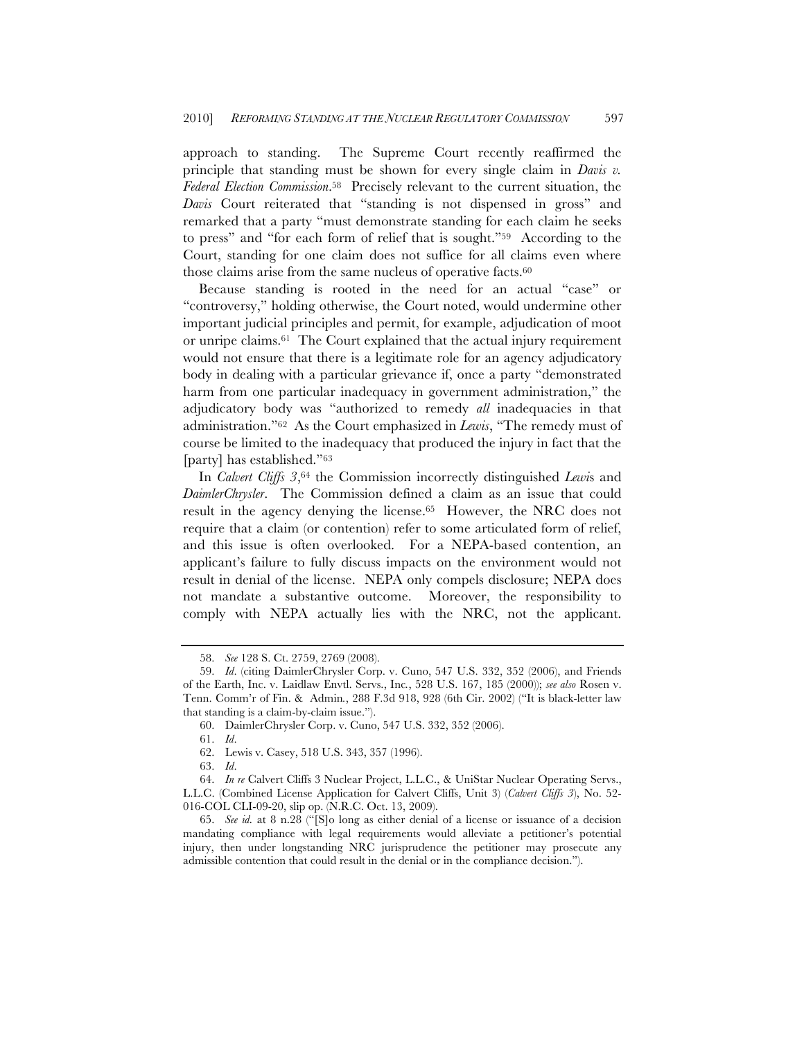approach to standing. The Supreme Court recently reaffirmed the principle that standing must be shown for every single claim in *Davis v. Federal Election Commission*.58 Precisely relevant to the current situation, the *Davis* Court reiterated that "standing is not dispensed in gross" and remarked that a party "must demonstrate standing for each claim he seeks to press" and "for each form of relief that is sought."59 According to the Court, standing for one claim does not suffice for all claims even where those claims arise from the same nucleus of operative facts.<sup>60</sup>

Because standing is rooted in the need for an actual "case" or "controversy," holding otherwise, the Court noted, would undermine other important judicial principles and permit, for example, adjudication of moot or unripe claims.61 The Court explained that the actual injury requirement would not ensure that there is a legitimate role for an agency adjudicatory body in dealing with a particular grievance if, once a party "demonstrated harm from one particular inadequacy in government administration," the adjudicatory body was "authorized to remedy *all* inadequacies in that administration."62 As the Court emphasized in *Lewis*, "The remedy must of course be limited to the inadequacy that produced the injury in fact that the [party] has established."63

In *Calvert Cliffs 3*,64 the Commission incorrectly distinguished *Lewi*s and *DaimlerChrysler*. The Commission defined a claim as an issue that could result in the agency denying the license.65 However, the NRC does not require that a claim (or contention) refer to some articulated form of relief, and this issue is often overlooked. For a NEPA-based contention, an applicant's failure to fully discuss impacts on the environment would not result in denial of the license. NEPA only compels disclosure; NEPA does not mandate a substantive outcome. Moreover, the responsibility to comply with NEPA actually lies with the NRC, not the applicant.

63. *Id*.

<sup>58.</sup> *See* 128 S. Ct. 2759, 2769 (2008).

<sup>59.</sup> *Id*. (citing DaimlerChrysler Corp. v. Cuno, 547 U.S. 332, 352 (2006), and Friends of the Earth, Inc. v. Laidlaw Envtl. Servs., Inc*.*, 528 U.S. 167, 185 (2000)); *see also* Rosen v. Tenn. Comm'r of Fin. & Admin*.*, 288 F.3d 918, 928 (6th Cir. 2002) ("It is black-letter law that standing is a claim-by-claim issue.").

<sup>60.</sup> DaimlerChrysler Corp. v. Cuno, 547 U.S. 332, 352 (2006).

<sup>61.</sup> *Id*.

<sup>62.</sup> Lewis v. Casey, 518 U.S. 343, 357 (1996).

<sup>64.</sup> *In re* Calvert Cliffs 3 Nuclear Project, L.L.C., & UniStar Nuclear Operating Servs., L.L.C. (Combined License Application for Calvert Cliffs, Unit 3) (*Calvert Cliffs 3*), No. 52- 016-COL CLI-09-20, slip op. (N.R.C. Oct. 13, 2009).

<sup>65.</sup> *See id.* at 8 n.28 ("[S]o long as either denial of a license or issuance of a decision mandating compliance with legal requirements would alleviate a petitioner's potential injury, then under longstanding NRC jurisprudence the petitioner may prosecute any admissible contention that could result in the denial or in the compliance decision.").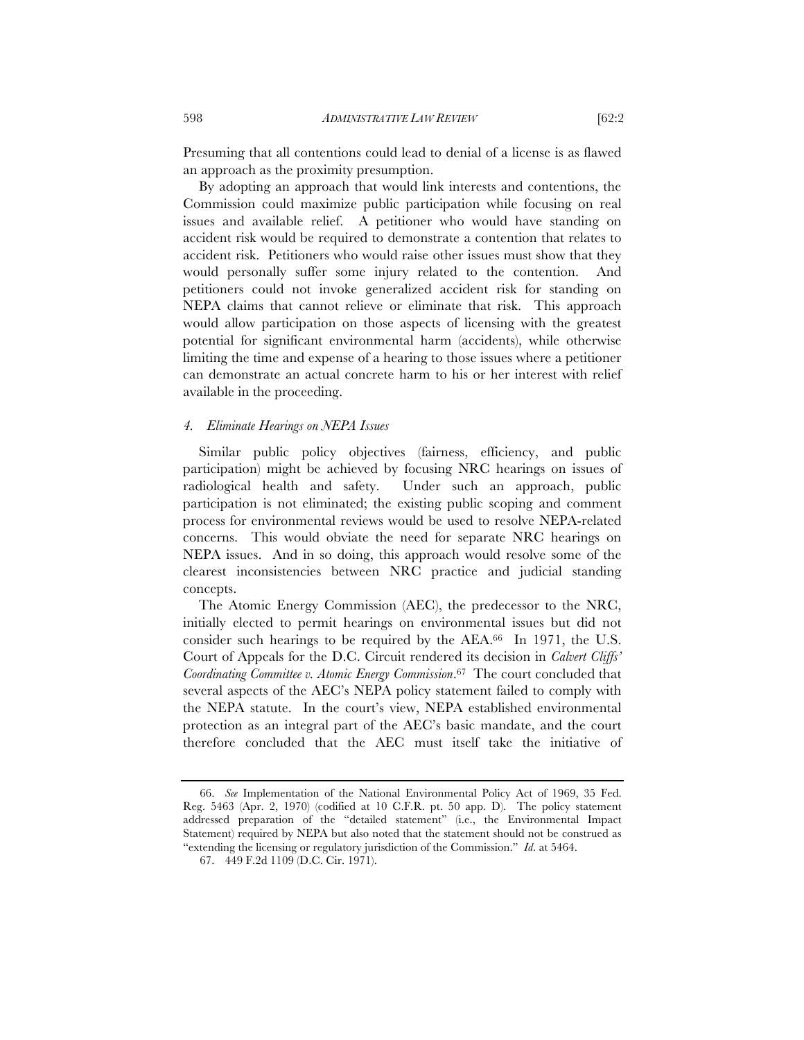Presuming that all contentions could lead to denial of a license is as flawed an approach as the proximity presumption.

By adopting an approach that would link interests and contentions, the Commission could maximize public participation while focusing on real issues and available relief. A petitioner who would have standing on accident risk would be required to demonstrate a contention that relates to accident risk. Petitioners who would raise other issues must show that they would personally suffer some injury related to the contention. And petitioners could not invoke generalized accident risk for standing on NEPA claims that cannot relieve or eliminate that risk. This approach would allow participation on those aspects of licensing with the greatest potential for significant environmental harm (accidents), while otherwise limiting the time and expense of a hearing to those issues where a petitioner can demonstrate an actual concrete harm to his or her interest with relief available in the proceeding.

## *4. Eliminate Hearings on NEPA Issues*

Similar public policy objectives (fairness, efficiency, and public participation) might be achieved by focusing NRC hearings on issues of radiological health and safety. Under such an approach, public participation is not eliminated; the existing public scoping and comment process for environmental reviews would be used to resolve NEPA-related concerns. This would obviate the need for separate NRC hearings on NEPA issues. And in so doing, this approach would resolve some of the clearest inconsistencies between NRC practice and judicial standing concepts.

The Atomic Energy Commission (AEC), the predecessor to the NRC, initially elected to permit hearings on environmental issues but did not consider such hearings to be required by the AEA.66 In 1971, the U.S. Court of Appeals for the D.C. Circuit rendered its decision in *Calvert Cliffs' Coordinating Committee v. Atomic Energy Commission*.67 The court concluded that several aspects of the AEC's NEPA policy statement failed to comply with the NEPA statute. In the court's view, NEPA established environmental protection as an integral part of the AEC's basic mandate, and the court therefore concluded that the AEC must itself take the initiative of

<sup>66.</sup> *See* Implementation of the National Environmental Policy Act of 1969, 35 Fed. Reg. 5463 (Apr. 2, 1970) (codified at 10 C.F.R. pt. 50 app. D). The policy statement addressed preparation of the "detailed statement" (i.e., the Environmental Impact Statement) required by NEPA but also noted that the statement should not be construed as "extending the licensing or regulatory jurisdiction of the Commission." *Id*. at 5464.

<sup>67.</sup> 449 F.2d 1109 (D.C. Cir. 1971).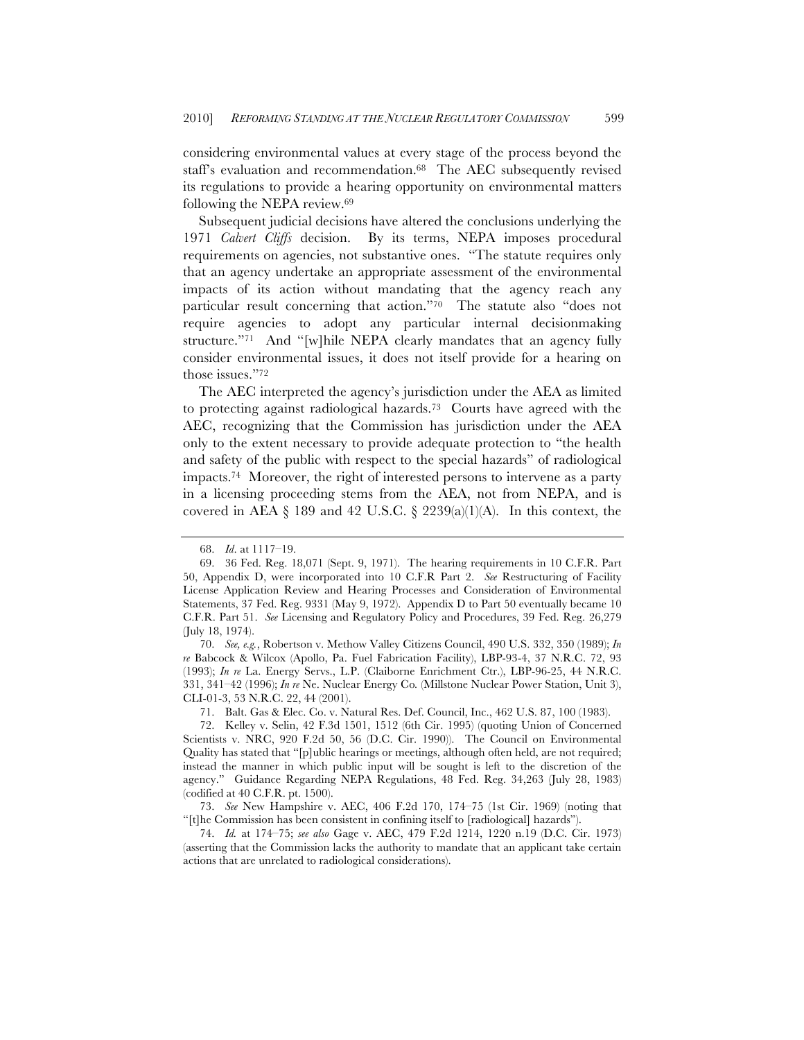considering environmental values at every stage of the process beyond the staff's evaluation and recommendation.68 The AEC subsequently revised its regulations to provide a hearing opportunity on environmental matters following the NEPA review.69

Subsequent judicial decisions have altered the conclusions underlying the 1971 *Calvert Cliffs* decision. By its terms, NEPA imposes procedural requirements on agencies, not substantive ones. "The statute requires only that an agency undertake an appropriate assessment of the environmental impacts of its action without mandating that the agency reach any particular result concerning that action."70 The statute also "does not require agencies to adopt any particular internal decisionmaking structure."71 And "[w]hile NEPA clearly mandates that an agency fully consider environmental issues, it does not itself provide for a hearing on those issues."72

The AEC interpreted the agency's jurisdiction under the AEA as limited to protecting against radiological hazards.73 Courts have agreed with the AEC, recognizing that the Commission has jurisdiction under the AEA only to the extent necessary to provide adequate protection to "the health and safety of the public with respect to the special hazards" of radiological impacts.74 Moreover, the right of interested persons to intervene as a party in a licensing proceeding stems from the AEA, not from NEPA, and is covered in AEA § 189 and 42 U.S.C. § 2239(a)(1)(A). In this context, the

70. *See, e.g.*, Robertson v. Methow Valley Citizens Council, 490 U.S. 332, 350 (1989); *In re* Babcock & Wilcox (Apollo, Pa. Fuel Fabrication Facility), LBP-93-4, 37 N.R.C. 72, 93 (1993); *In re* La. Energy Servs., L.P. (Claiborne Enrichment Ctr.), LBP-96-25, 44 N.R.C. 331, 341–42 (1996); *In re* Ne. Nuclear Energy Co*.* (Millstone Nuclear Power Station, Unit 3), CLI-01-3, 53 N.R.C. 22, 44 (2001).

71. Balt. Gas & Elec. Co. v. Natural Res. Def. Council, Inc., 462 U.S. 87, 100 (1983).

74. *Id.* at 174–75; *see also* Gage v. AEC, 479 F.2d 1214, 1220 n.19 (D.C. Cir. 1973) (asserting that the Commission lacks the authority to mandate that an applicant take certain actions that are unrelated to radiological considerations).

<sup>68.</sup> *Id*. at 1117–19.

<sup>69.</sup> 36 Fed. Reg. 18,071 (Sept. 9, 1971). The hearing requirements in 10 C.F.R. Part 50, Appendix D, were incorporated into 10 C.F.R Part 2. *See* Restructuring of Facility License Application Review and Hearing Processes and Consideration of Environmental Statements, 37 Fed. Reg. 9331 (May 9, 1972). Appendix D to Part 50 eventually became 10 C.F.R. Part 51. *See* Licensing and Regulatory Policy and Procedures, 39 Fed. Reg. 26,279 (July 18, 1974).

<sup>72.</sup> Kelley v. Selin, 42 F.3d 1501, 1512 (6th Cir. 1995) (quoting Union of Concerned Scientists v. NRC, 920 F.2d 50, 56 (D.C. Cir. 1990)). The Council on Environmental Quality has stated that "[p]ublic hearings or meetings, although often held, are not required; instead the manner in which public input will be sought is left to the discretion of the agency." Guidance Regarding NEPA Regulations, 48 Fed. Reg. 34,263 (July 28, 1983) (codified at 40 C.F.R. pt. 1500).

<sup>73.</sup> *See* New Hampshire v. AEC, 406 F.2d 170, 174–75 (1st Cir. 1969) (noting that "[t]he Commission has been consistent in confining itself to [radiological] hazards").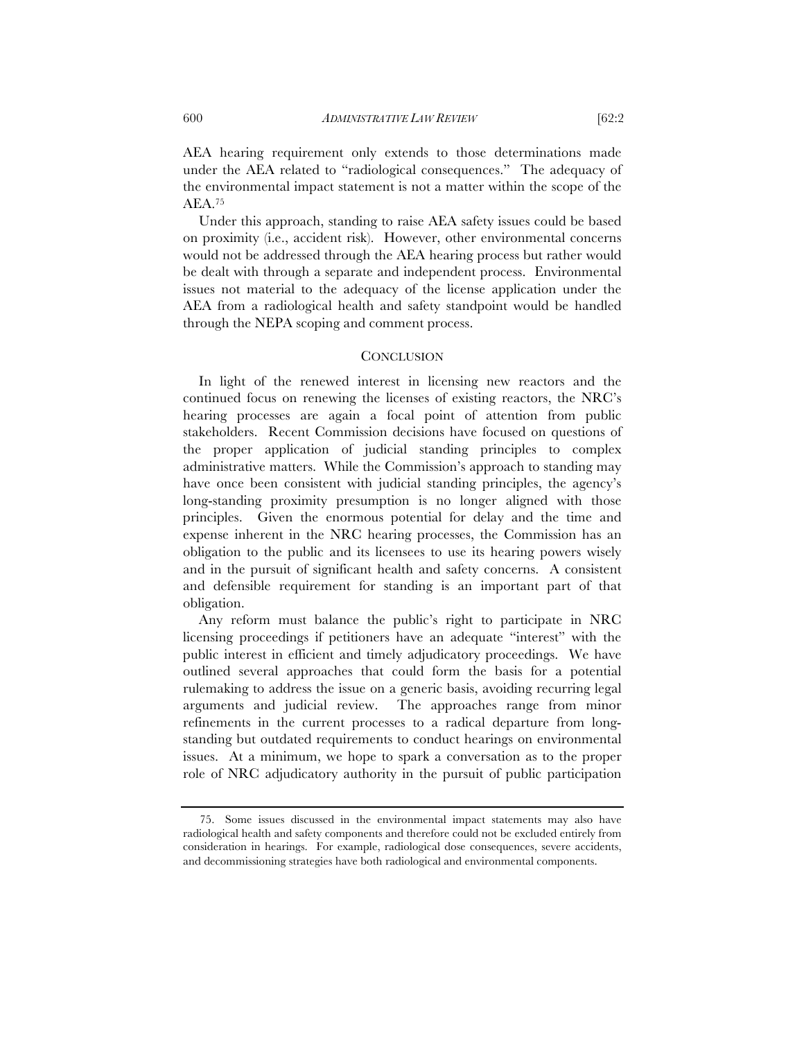AEA hearing requirement only extends to those determinations made under the AEA related to "radiological consequences." The adequacy of the environmental impact statement is not a matter within the scope of the AEA.75

Under this approach, standing to raise AEA safety issues could be based on proximity (i.e., accident risk). However, other environmental concerns would not be addressed through the AEA hearing process but rather would be dealt with through a separate and independent process. Environmental issues not material to the adequacy of the license application under the AEA from a radiological health and safety standpoint would be handled through the NEPA scoping and comment process.

# **CONCLUSION**

In light of the renewed interest in licensing new reactors and the continued focus on renewing the licenses of existing reactors, the NRC's hearing processes are again a focal point of attention from public stakeholders. Recent Commission decisions have focused on questions of the proper application of judicial standing principles to complex administrative matters. While the Commission's approach to standing may have once been consistent with judicial standing principles, the agency's long-standing proximity presumption is no longer aligned with those principles. Given the enormous potential for delay and the time and expense inherent in the NRC hearing processes, the Commission has an obligation to the public and its licensees to use its hearing powers wisely and in the pursuit of significant health and safety concerns. A consistent and defensible requirement for standing is an important part of that obligation.

Any reform must balance the public's right to participate in NRC licensing proceedings if petitioners have an adequate "interest" with the public interest in efficient and timely adjudicatory proceedings. We have outlined several approaches that could form the basis for a potential rulemaking to address the issue on a generic basis, avoiding recurring legal arguments and judicial review. The approaches range from minor refinements in the current processes to a radical departure from longstanding but outdated requirements to conduct hearings on environmental issues. At a minimum, we hope to spark a conversation as to the proper role of NRC adjudicatory authority in the pursuit of public participation

<sup>75.</sup> Some issues discussed in the environmental impact statements may also have radiological health and safety components and therefore could not be excluded entirely from consideration in hearings. For example, radiological dose consequences, severe accidents, and decommissioning strategies have both radiological and environmental components.